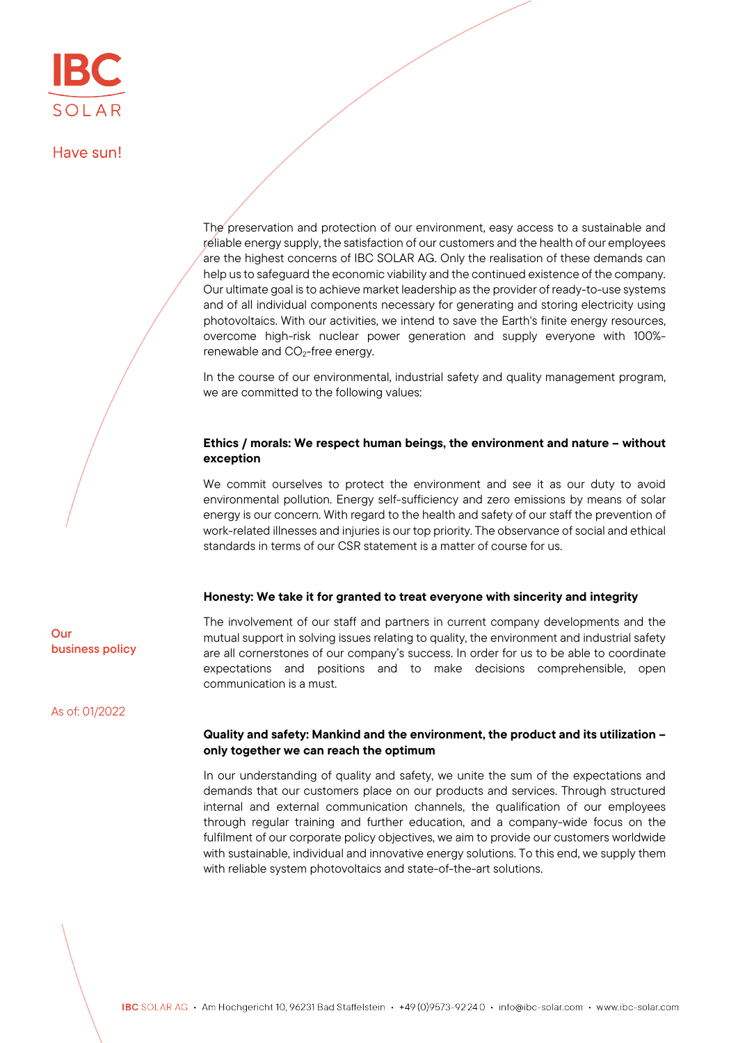Have sun!

The preservation and protection of our environment, easy access to a sustainable and reliable energy supply, the satisfaction of our customers and the health of our employees are the highest concerns of IBC SOLAR AG. Only the realisation of these demands can help us to safeguard the economic viability and the continued existence of the company. Our ultimate goal is to achieve market leadership as the provider of ready-to-use systems and of all individual components necessary for generating and storing electricity using photovoltaics. With our activities, we intend to save the Earth's finite energy resources, overcome high-risk nuclear power generation and supply everyone with 100% renewable and  $CO<sub>2</sub>$ -free energy.

In the course of our environmental, industrial safety and quality management program, we are committed to the following values:

## Ethics / morals: We respect human beings, the environment and nature – without exception

We commit ourselves to protect the environment and see it as our duty to avoid environmental pollution. Energy self-sufficiency and zero emissions by means of solar energy is our concern. With regard to the health and safety of our staff the prevention of work-related illnesses and injuries is our top priority. The observance of social and ethical standards in terms of our CSR statement is a matter of course for us.

## Honesty: We take it for granted to treat everyone with sincerity and integrity

The involvement of our staff and partners in current company developments and the mutual support in solving issues relating to quality, the environment and industrial safety are all cornerstones of our company's success. In order for us to be able to coordinate expectations and positions and to make decisions comprehensible, open communication is a must.

As of: 01/2022

business policy

Our

## Quality and safety: Mankind and the environment, the product and its utilization – only together we can reach the optimum

In our understanding of quality and safety, we unite the sum of the expectations and demands that our customers place on our products and services. Through structured internal and external communication channels, the qualification of our employees through regular training and further education, and a company-wide focus on the fulfilment of our corporate policy objectives, we aim to provide our customers worldwide with sustainable, individual and innovative energy solutions. To this end, we supply them with reliable system photovoltaics and state-of-the-art solutions.